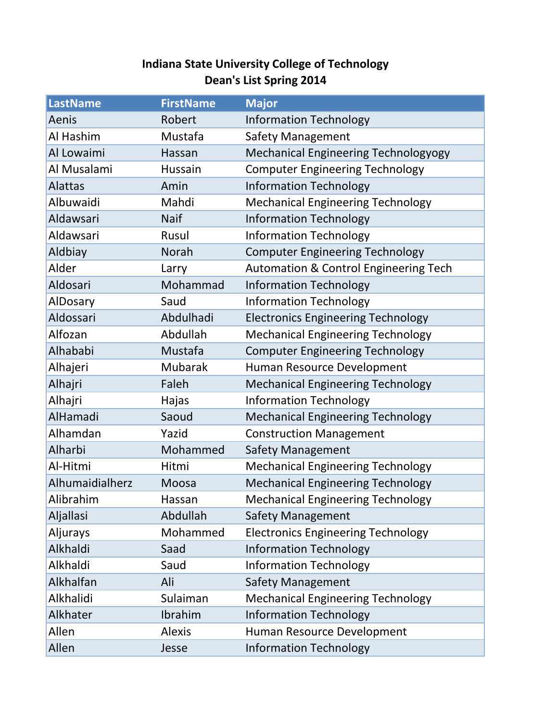## **Indiana State University College of Technology Dean's List Spring 2014**

| <b>LastName</b> | <b>FirstName</b> | <b>Major</b>                                     |
|-----------------|------------------|--------------------------------------------------|
| Aenis           | Robert           | <b>Information Technology</b>                    |
| Al Hashim       | Mustafa          | <b>Safety Management</b>                         |
| Al Lowaimi      | Hassan           | <b>Mechanical Engineering Technologyogy</b>      |
| Al Musalami     | Hussain          | <b>Computer Engineering Technology</b>           |
| <b>Alattas</b>  | Amin             | <b>Information Technology</b>                    |
| Albuwaidi       | Mahdi            | <b>Mechanical Engineering Technology</b>         |
| Aldawsari       | <b>Naif</b>      | <b>Information Technology</b>                    |
| Aldawsari       | Rusul            | <b>Information Technology</b>                    |
| Aldbiay         | Norah            | <b>Computer Engineering Technology</b>           |
| Alder           | Larry            | <b>Automation &amp; Control Engineering Tech</b> |
| Aldosari        | Mohammad         | <b>Information Technology</b>                    |
| AlDosary        | Saud             | <b>Information Technology</b>                    |
| Aldossari       | Abdulhadi        | <b>Electronics Engineering Technology</b>        |
| Alfozan         | Abdullah         | <b>Mechanical Engineering Technology</b>         |
| Alhababi        | Mustafa          | <b>Computer Engineering Technology</b>           |
| Alhajeri        | Mubarak          | Human Resource Development                       |
| Alhajri         | Faleh            | <b>Mechanical Engineering Technology</b>         |
| Alhajri         | Hajas            | <b>Information Technology</b>                    |
| AlHamadi        | Saoud            | <b>Mechanical Engineering Technology</b>         |
| Alhamdan        | Yazid            | <b>Construction Management</b>                   |
| Alharbi         | Mohammed         | <b>Safety Management</b>                         |
| Al-Hitmi        | Hitmi            | <b>Mechanical Engineering Technology</b>         |
| Alhumaidialherz | Moosa            | <b>Mechanical Engineering Technology</b>         |
| Alibrahim       | Hassan           | <b>Mechanical Engineering Technology</b>         |
| Aljallasi       | Abdullah         | <b>Safety Management</b>                         |
| Aljurays        | Mohammed         | <b>Electronics Engineering Technology</b>        |
| Alkhaldi        | Saad             | <b>Information Technology</b>                    |
| Alkhaldi        | Saud             | <b>Information Technology</b>                    |
| Alkhalfan       | Ali              | Safety Management                                |
| Alkhalidi       | Sulaiman         | <b>Mechanical Engineering Technology</b>         |
| Alkhater        | Ibrahim          | <b>Information Technology</b>                    |
| Allen           | <b>Alexis</b>    | Human Resource Development                       |
| Allen           | Jesse            | <b>Information Technology</b>                    |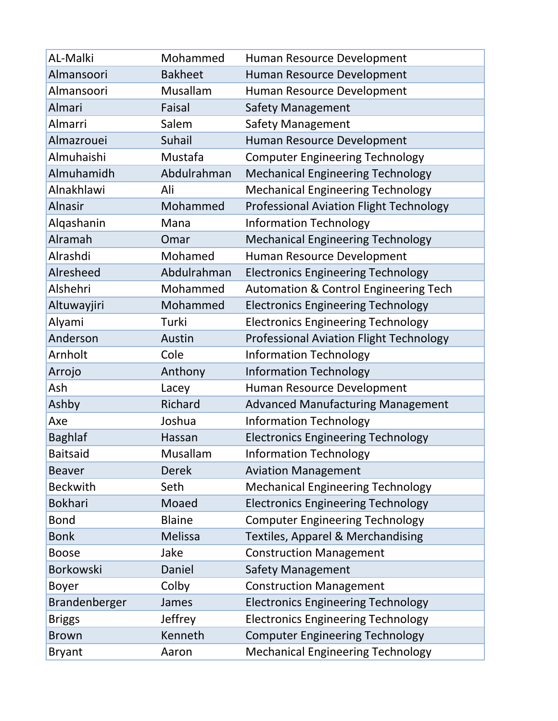| AL-Malki        | Mohammed       | Human Resource Development                       |
|-----------------|----------------|--------------------------------------------------|
| Almansoori      | <b>Bakheet</b> | Human Resource Development                       |
| Almansoori      | Musallam       | Human Resource Development                       |
| Almari          | Faisal         | <b>Safety Management</b>                         |
| Almarri         | Salem          | <b>Safety Management</b>                         |
| Almazrouei      | Suhail         | Human Resource Development                       |
| Almuhaishi      | Mustafa        | <b>Computer Engineering Technology</b>           |
| Almuhamidh      | Abdulrahman    | <b>Mechanical Engineering Technology</b>         |
| Alnakhlawi      | Ali            | <b>Mechanical Engineering Technology</b>         |
| <b>Alnasir</b>  | Mohammed       | <b>Professional Aviation Flight Technology</b>   |
| Alqashanin      | Mana           | <b>Information Technology</b>                    |
| Alramah         | Omar           | <b>Mechanical Engineering Technology</b>         |
| Alrashdi        | Mohamed        | Human Resource Development                       |
| Alresheed       | Abdulrahman    | <b>Electronics Engineering Technology</b>        |
| Alshehri        | Mohammed       | <b>Automation &amp; Control Engineering Tech</b> |
| Altuwayjiri     | Mohammed       | <b>Electronics Engineering Technology</b>        |
| Alyami          | Turki          | <b>Electronics Engineering Technology</b>        |
| Anderson        | Austin         | <b>Professional Aviation Flight Technology</b>   |
| Arnholt         | Cole           | <b>Information Technology</b>                    |
| Arrojo          | Anthony        | <b>Information Technology</b>                    |
| Ash             | Lacey          | Human Resource Development                       |
| Ashby           | Richard        | <b>Advanced Manufacturing Management</b>         |
| Axe             | Joshua         | <b>Information Technology</b>                    |
| <b>Baghlaf</b>  | Hassan         | <b>Electronics Engineering Technology</b>        |
| <b>Baitsaid</b> | Musallam       | <b>Information Technology</b>                    |
| <b>Beaver</b>   | <b>Derek</b>   | <b>Aviation Management</b>                       |
| <b>Beckwith</b> | Seth           | <b>Mechanical Engineering Technology</b>         |
| <b>Bokhari</b>  | Moaed          | <b>Electronics Engineering Technology</b>        |
| <b>Bond</b>     | <b>Blaine</b>  | <b>Computer Engineering Technology</b>           |
| <b>Bonk</b>     | Melissa        | <b>Textiles, Apparel &amp; Merchandising</b>     |
| <b>Boose</b>    | Jake           | <b>Construction Management</b>                   |
| Borkowski       | Daniel         | <b>Safety Management</b>                         |
| <b>Boyer</b>    | Colby          | <b>Construction Management</b>                   |
| Brandenberger   | James          | <b>Electronics Engineering Technology</b>        |
| <b>Briggs</b>   | Jeffrey        | <b>Electronics Engineering Technology</b>        |
| <b>Brown</b>    | Kenneth        | <b>Computer Engineering Technology</b>           |
| <b>Bryant</b>   | Aaron          | <b>Mechanical Engineering Technology</b>         |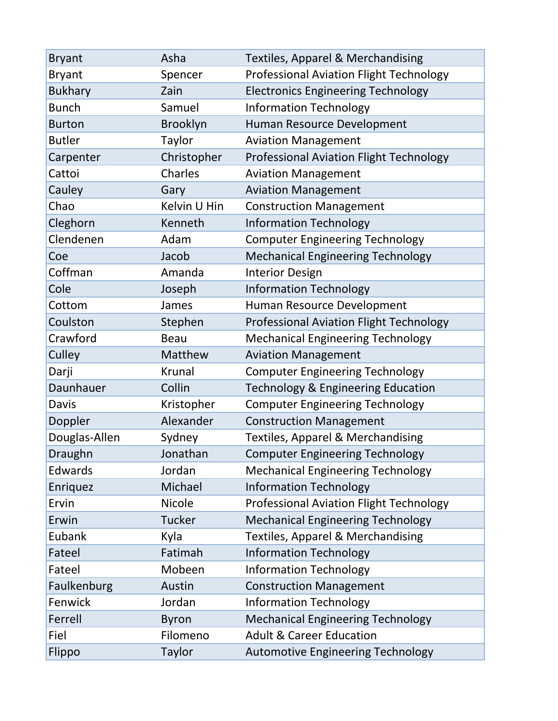| <b>Bryant</b>  | Asha           | <b>Textiles, Apparel &amp; Merchandising</b>   |
|----------------|----------------|------------------------------------------------|
| <b>Bryant</b>  | Spencer        | <b>Professional Aviation Flight Technology</b> |
| <b>Bukhary</b> | Zain           | <b>Electronics Engineering Technology</b>      |
| <b>Bunch</b>   | Samuel         | <b>Information Technology</b>                  |
| <b>Burton</b>  | Brooklyn       | Human Resource Development                     |
| <b>Butler</b>  | Taylor         | <b>Aviation Management</b>                     |
| Carpenter      | Christopher    | <b>Professional Aviation Flight Technology</b> |
| Cattoi         | Charles        | <b>Aviation Management</b>                     |
| Cauley         | Gary           | <b>Aviation Management</b>                     |
| Chao           | Kelvin U Hin   | <b>Construction Management</b>                 |
| Cleghorn       | Kenneth        | <b>Information Technology</b>                  |
| Clendenen      | Adam           | <b>Computer Engineering Technology</b>         |
| Coe            | Jacob          | <b>Mechanical Engineering Technology</b>       |
| Coffman        | Amanda         | <b>Interior Design</b>                         |
| Cole           | Joseph         | <b>Information Technology</b>                  |
| Cottom         | James          | Human Resource Development                     |
| Coulston       | Stephen        | <b>Professional Aviation Flight Technology</b> |
| Crawford       | <b>Beau</b>    | <b>Mechanical Engineering Technology</b>       |
| Culley         | <b>Matthew</b> | <b>Aviation Management</b>                     |
| Darji          | <b>Krunal</b>  | <b>Computer Engineering Technology</b>         |
| Daunhauer      | Collin         | <b>Technology &amp; Engineering Education</b>  |
| <b>Davis</b>   | Kristopher     | <b>Computer Engineering Technology</b>         |
| Doppler        | Alexander      | <b>Construction Management</b>                 |
| Douglas-Allen  | Sydney         | <b>Textiles, Apparel &amp; Merchandising</b>   |
| Draughn        | Jonathan       | <b>Computer Engineering Technology</b>         |
| Edwards        | Jordan         | <b>Mechanical Engineering Technology</b>       |
| Enriquez       | Michael        | <b>Information Technology</b>                  |
| Ervin          | <b>Nicole</b>  | <b>Professional Aviation Flight Technology</b> |
| Erwin          | <b>Tucker</b>  | <b>Mechanical Engineering Technology</b>       |
| Eubank         | Kyla           | Textiles, Apparel & Merchandising              |
| Fateel         | Fatimah        | <b>Information Technology</b>                  |
| Fateel         | Mobeen         | <b>Information Technology</b>                  |
| Faulkenburg    | Austin         | <b>Construction Management</b>                 |
| Fenwick        | Jordan         | <b>Information Technology</b>                  |
| Ferrell        | <b>Byron</b>   | <b>Mechanical Engineering Technology</b>       |
| Fiel           | Filomeno       | <b>Adult &amp; Career Education</b>            |
| Flippo         | Taylor         | <b>Automotive Engineering Technology</b>       |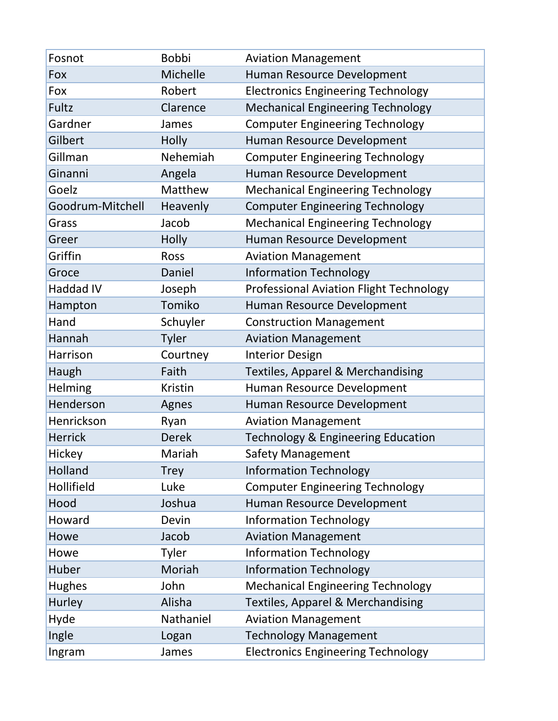| Fosnot           | <b>Bobbi</b>   | <b>Aviation Management</b>                     |
|------------------|----------------|------------------------------------------------|
| Fox              | Michelle       | Human Resource Development                     |
| Fox              | Robert         | <b>Electronics Engineering Technology</b>      |
| Fultz            | Clarence       | <b>Mechanical Engineering Technology</b>       |
| Gardner          | James          | <b>Computer Engineering Technology</b>         |
| Gilbert          | Holly          | Human Resource Development                     |
| Gillman          | Nehemiah       | <b>Computer Engineering Technology</b>         |
| Ginanni          | Angela         | Human Resource Development                     |
| Goelz            | Matthew        | <b>Mechanical Engineering Technology</b>       |
| Goodrum-Mitchell | Heavenly       | <b>Computer Engineering Technology</b>         |
| Grass            | Jacob          | <b>Mechanical Engineering Technology</b>       |
| Greer            | Holly          | Human Resource Development                     |
| Griffin          | Ross           | <b>Aviation Management</b>                     |
| Groce            | Daniel         | <b>Information Technology</b>                  |
| Haddad IV        | Joseph         | <b>Professional Aviation Flight Technology</b> |
| Hampton          | Tomiko         | Human Resource Development                     |
| Hand             | Schuyler       | <b>Construction Management</b>                 |
| Hannah           | <b>Tyler</b>   | <b>Aviation Management</b>                     |
| Harrison         | Courtney       | <b>Interior Design</b>                         |
| Haugh            | Faith          | <b>Textiles, Apparel &amp; Merchandising</b>   |
| <b>Helming</b>   | <b>Kristin</b> | Human Resource Development                     |
| Henderson        | Agnes          | Human Resource Development                     |
| Henrickson       | Ryan           | <b>Aviation Management</b>                     |
| <b>Herrick</b>   | <b>Derek</b>   | <b>Technology &amp; Engineering Education</b>  |
| Hickey           | Mariah         | Safety Management                              |
| Holland          | <b>Trey</b>    | <b>Information Technology</b>                  |
| Hollifield       | Luke           | <b>Computer Engineering Technology</b>         |
| Hood             | Joshua         | Human Resource Development                     |
| Howard           | Devin          | <b>Information Technology</b>                  |
| Howe             | Jacob          | <b>Aviation Management</b>                     |
| Howe             | Tyler          | <b>Information Technology</b>                  |
| Huber            | Moriah         | <b>Information Technology</b>                  |
| <b>Hughes</b>    | John           | <b>Mechanical Engineering Technology</b>       |
| Hurley           | Alisha         | <b>Textiles, Apparel &amp; Merchandising</b>   |
| Hyde             | Nathaniel      | <b>Aviation Management</b>                     |
| Ingle            | Logan          | <b>Technology Management</b>                   |
| Ingram           | James          | <b>Electronics Engineering Technology</b>      |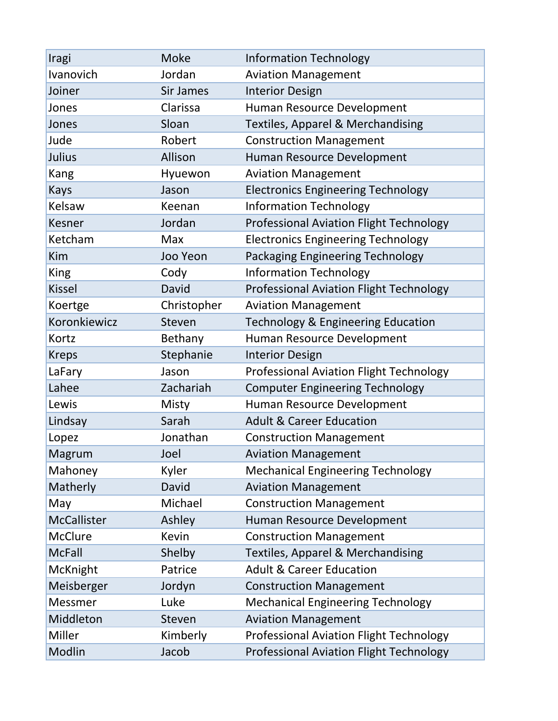| Iragi              | <b>Moke</b> | <b>Information Technology</b>                  |
|--------------------|-------------|------------------------------------------------|
| Ivanovich          | Jordan      | <b>Aviation Management</b>                     |
| Joiner             | Sir James   | <b>Interior Design</b>                         |
| Jones              | Clarissa    | Human Resource Development                     |
| Jones              | Sloan       | <b>Textiles, Apparel &amp; Merchandising</b>   |
| Jude               | Robert      | <b>Construction Management</b>                 |
| Julius             | Allison     | Human Resource Development                     |
| Kang               | Hyuewon     | <b>Aviation Management</b>                     |
| <b>Kays</b>        | Jason       | <b>Electronics Engineering Technology</b>      |
| Kelsaw             | Keenan      | <b>Information Technology</b>                  |
| <b>Kesner</b>      | Jordan      | <b>Professional Aviation Flight Technology</b> |
| Ketcham            | Max         | <b>Electronics Engineering Technology</b>      |
| Kim                | Joo Yeon    | Packaging Engineering Technology               |
| <b>King</b>        | Cody        | <b>Information Technology</b>                  |
| <b>Kissel</b>      | David       | <b>Professional Aviation Flight Technology</b> |
| Koertge            | Christopher | <b>Aviation Management</b>                     |
| Koronkiewicz       | Steven      | Technology & Engineering Education             |
| Kortz              | Bethany     | Human Resource Development                     |
| <b>Kreps</b>       | Stephanie   | <b>Interior Design</b>                         |
| LaFary             | Jason       | <b>Professional Aviation Flight Technology</b> |
| Lahee              | Zachariah   | <b>Computer Engineering Technology</b>         |
| Lewis              | Misty       | Human Resource Development                     |
| Lindsay            | Sarah       | <b>Adult &amp; Career Education</b>            |
| Lopez              | Jonathan    | <b>Construction Management</b>                 |
| Magrum             | Joel        | <b>Aviation Management</b>                     |
| Mahoney            | Kyler       | <b>Mechanical Engineering Technology</b>       |
| Matherly           | David       | <b>Aviation Management</b>                     |
| May                | Michael     | <b>Construction Management</b>                 |
| <b>McCallister</b> | Ashley      | Human Resource Development                     |
| <b>McClure</b>     | Kevin       | <b>Construction Management</b>                 |
| <b>McFall</b>      | Shelby      | <b>Textiles, Apparel &amp; Merchandising</b>   |
| McKnight           | Patrice     | <b>Adult &amp; Career Education</b>            |
| Meisberger         | Jordyn      | <b>Construction Management</b>                 |
| Messmer            | Luke        | <b>Mechanical Engineering Technology</b>       |
| Middleton          | Steven      | <b>Aviation Management</b>                     |
| Miller             | Kimberly    | <b>Professional Aviation Flight Technology</b> |
| Modlin             | Jacob       | <b>Professional Aviation Flight Technology</b> |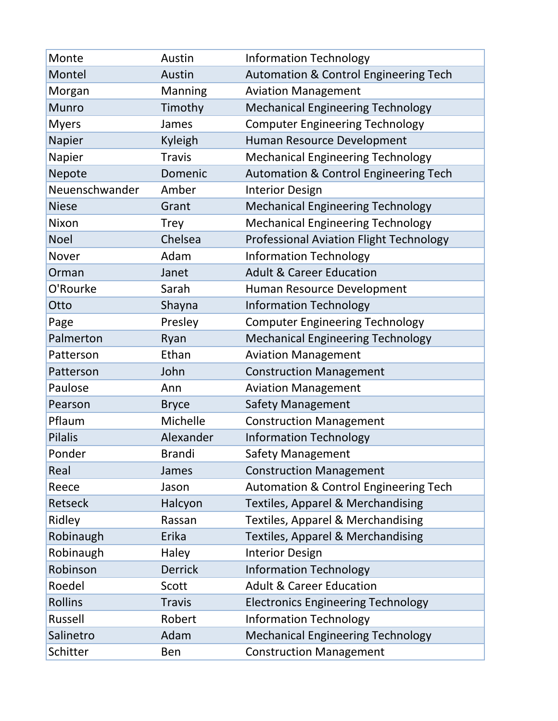| Monte          | Austin         | <b>Information Technology</b>                    |
|----------------|----------------|--------------------------------------------------|
| Montel         | Austin         | <b>Automation &amp; Control Engineering Tech</b> |
| Morgan         | Manning        | <b>Aviation Management</b>                       |
| <b>Munro</b>   | Timothy        | <b>Mechanical Engineering Technology</b>         |
| <b>Myers</b>   | James          | <b>Computer Engineering Technology</b>           |
| Napier         | <b>Kyleigh</b> | Human Resource Development                       |
| Napier         | <b>Travis</b>  | <b>Mechanical Engineering Technology</b>         |
| Nepote         | Domenic        | Automation & Control Engineering Tech            |
| Neuenschwander | Amber          | <b>Interior Design</b>                           |
| <b>Niese</b>   | Grant          | <b>Mechanical Engineering Technology</b>         |
| Nixon          | <b>Trey</b>    | <b>Mechanical Engineering Technology</b>         |
| <b>Noel</b>    | Chelsea        | <b>Professional Aviation Flight Technology</b>   |
| Nover          | Adam           | <b>Information Technology</b>                    |
| Orman          | Janet          | <b>Adult &amp; Career Education</b>              |
| O'Rourke       | Sarah          | Human Resource Development                       |
| Otto           | Shayna         | <b>Information Technology</b>                    |
| Page           | Presley        | <b>Computer Engineering Technology</b>           |
| Palmerton      | Ryan           | <b>Mechanical Engineering Technology</b>         |
| Patterson      | Ethan          | <b>Aviation Management</b>                       |
| Patterson      | John           | <b>Construction Management</b>                   |
| Paulose        | Ann            | <b>Aviation Management</b>                       |
| Pearson        | <b>Bryce</b>   | <b>Safety Management</b>                         |
| Pflaum         | Michelle       | <b>Construction Management</b>                   |
| <b>Pilalis</b> | Alexander      | <b>Information Technology</b>                    |
| Ponder         | <b>Brandi</b>  | <b>Safety Management</b>                         |
| Real           | James          | <b>Construction Management</b>                   |
| Reece          | Jason          | <b>Automation &amp; Control Engineering Tech</b> |
| <b>Retseck</b> | Halcyon        | <b>Textiles, Apparel &amp; Merchandising</b>     |
| Ridley         | Rassan         | <b>Textiles, Apparel &amp; Merchandising</b>     |
| Robinaugh      | Erika          | <b>Textiles, Apparel &amp; Merchandising</b>     |
| Robinaugh      | Haley          | <b>Interior Design</b>                           |
| Robinson       | <b>Derrick</b> | <b>Information Technology</b>                    |
| Roedel         | Scott          | <b>Adult &amp; Career Education</b>              |
| <b>Rollins</b> | <b>Travis</b>  | <b>Electronics Engineering Technology</b>        |
| Russell        | Robert         | <b>Information Technology</b>                    |
| Salinetro      | Adam           | <b>Mechanical Engineering Technology</b>         |
| Schitter       | Ben            | <b>Construction Management</b>                   |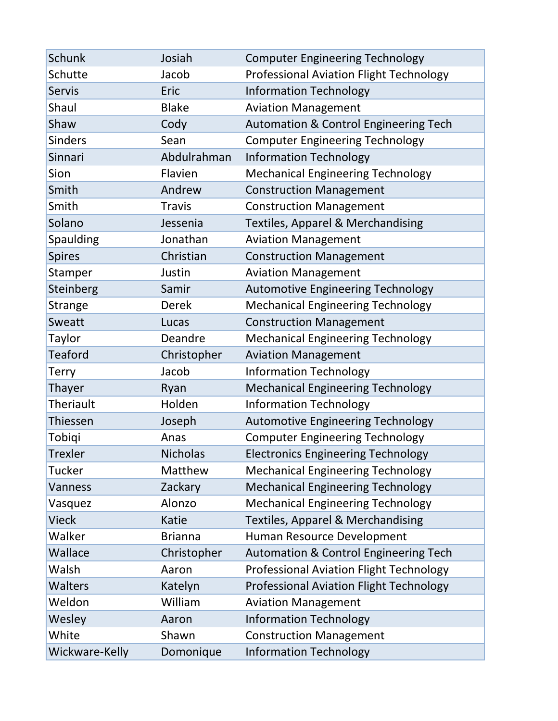| <b>Schunk</b>    | Josiah          | <b>Computer Engineering Technology</b>           |
|------------------|-----------------|--------------------------------------------------|
| Schutte          | Jacob           | <b>Professional Aviation Flight Technology</b>   |
| <b>Servis</b>    | Eric            | <b>Information Technology</b>                    |
| Shaul            | <b>Blake</b>    | <b>Aviation Management</b>                       |
| Shaw             | Cody            | Automation & Control Engineering Tech            |
| <b>Sinders</b>   | Sean            | <b>Computer Engineering Technology</b>           |
| <b>Sinnari</b>   | Abdulrahman     | <b>Information Technology</b>                    |
| Sion             | Flavien         | <b>Mechanical Engineering Technology</b>         |
| Smith            | Andrew          | <b>Construction Management</b>                   |
| Smith            | <b>Travis</b>   | <b>Construction Management</b>                   |
| Solano           | Jessenia        | <b>Textiles, Apparel &amp; Merchandising</b>     |
| Spaulding        | Jonathan        | <b>Aviation Management</b>                       |
| <b>Spires</b>    | Christian       | <b>Construction Management</b>                   |
| Stamper          | Justin          | <b>Aviation Management</b>                       |
| <b>Steinberg</b> | Samir           | <b>Automotive Engineering Technology</b>         |
| <b>Strange</b>   | <b>Derek</b>    | <b>Mechanical Engineering Technology</b>         |
| <b>Sweatt</b>    | Lucas           | <b>Construction Management</b>                   |
| Taylor           | Deandre         | <b>Mechanical Engineering Technology</b>         |
| Teaford          | Christopher     | <b>Aviation Management</b>                       |
| Terry            | Jacob           | <b>Information Technology</b>                    |
| Thayer           | Ryan            | <b>Mechanical Engineering Technology</b>         |
| <b>Theriault</b> | Holden          | <b>Information Technology</b>                    |
| Thiessen         | Joseph          | <b>Automotive Engineering Technology</b>         |
| Tobiqi           | Anas            | <b>Computer Engineering Technology</b>           |
| <b>Trexler</b>   | <b>Nicholas</b> | <b>Electronics Engineering Technology</b>        |
| Tucker           | Matthew         | <b>Mechanical Engineering Technology</b>         |
| <b>Vanness</b>   | Zackary         | <b>Mechanical Engineering Technology</b>         |
| Vasquez          | Alonzo          | <b>Mechanical Engineering Technology</b>         |
| <b>Vieck</b>     | Katie           | Textiles, Apparel & Merchandising                |
| Walker           | <b>Brianna</b>  | Human Resource Development                       |
| Wallace          | Christopher     | <b>Automation &amp; Control Engineering Tech</b> |
| Walsh            | Aaron           | <b>Professional Aviation Flight Technology</b>   |
| <b>Walters</b>   | Katelyn         | <b>Professional Aviation Flight Technology</b>   |
| Weldon           | William         | <b>Aviation Management</b>                       |
| Wesley           | Aaron           | <b>Information Technology</b>                    |
| White            | Shawn           | <b>Construction Management</b>                   |
| Wickware-Kelly   | Domonique       | <b>Information Technology</b>                    |